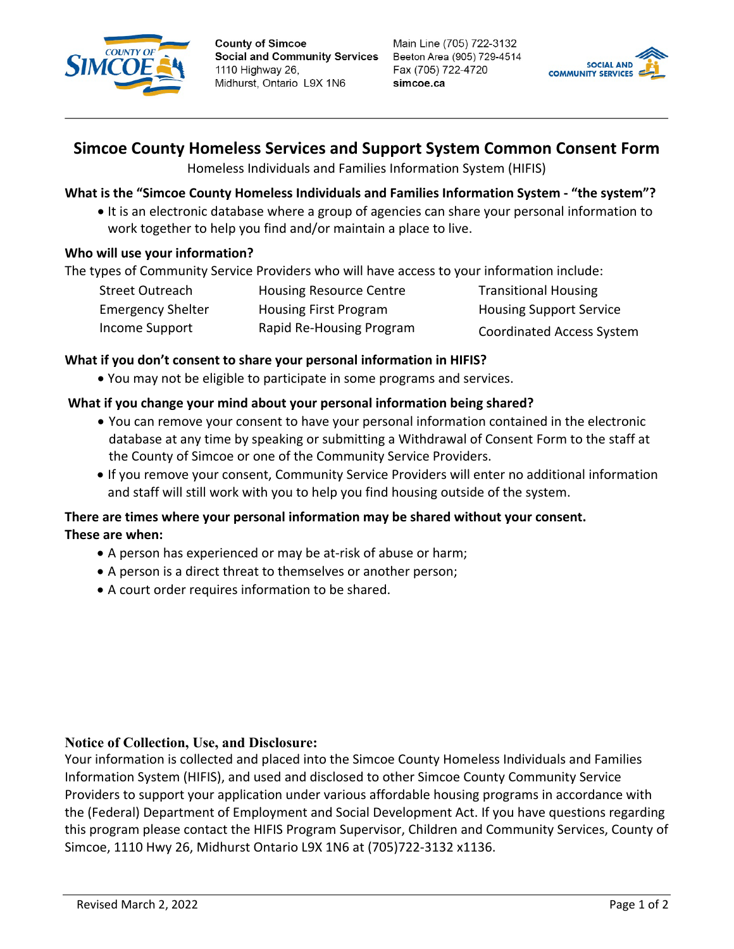

**County of Simcoe Social and Community Services** 1110 Highway 26, Midhurst, Ontario L9X 1N6

Main Line (705) 722-3132 Beeton Area (905) 729-4514 Fax (705) 722-4720 simcoe.ca



# **Simcoe County Homeless Services and Support System Common Consent Form**

Homeless Individuals and Families Information System (HIFIS)

# **What is the "Simcoe County Homeless Individuals and Families Information System - "the system"?**

• It is an electronic database where a group of agencies can share your personal information to work together to help you find and/or maintain a place to live.

# **Who will use your information?**

The types of Community Service Providers who will have access to your information include:

| Street Outreach          | <b>Housing Resource Centre</b> | <b>Transitional Housing</b>      |
|--------------------------|--------------------------------|----------------------------------|
| <b>Emergency Shelter</b> | <b>Housing First Program</b>   | <b>Housing Support Service</b>   |
| Income Support           | Rapid Re-Housing Program       | <b>Coordinated Access System</b> |

# **What if you don't consent to share your personal information in HIFIS?**

• You may not be eligible to participate in some programs and services.

# **What if you change your mind about your personal information being shared?**

- You can remove your consent to have your personal information contained in the electronic database at any time by speaking or submitting a Withdrawal of Consent Form to the staff at the County of Simcoe or one of the Community Service Providers.
- If you remove your consent, Community Service Providers will enter no additional information and staff will still work with you to help you find housing outside of the system.

# **There are times where your personal information may be shared without your consent. These are when:**

- A person has experienced or may be at-risk of abuse or harm;
- A person is a direct threat to themselves or another person;
- A court order requires information to be shared.

## **Notice of Collection, Use, and Disclosure:**

Your information is collected and placed into the Simcoe County Homeless Individuals and Families Information System (HIFIS), and used and disclosed to other Simcoe County Community Service Providers to support your application under various affordable housing programs in accordance with the (Federal) Department of Employment and Social Development Act. If you have questions regarding this program please contact the HIFIS Program Supervisor, Children and Community Services, County of Simcoe, 1110 Hwy 26, Midhurst Ontario L9X 1N6 at (705)722-3132 x1136.